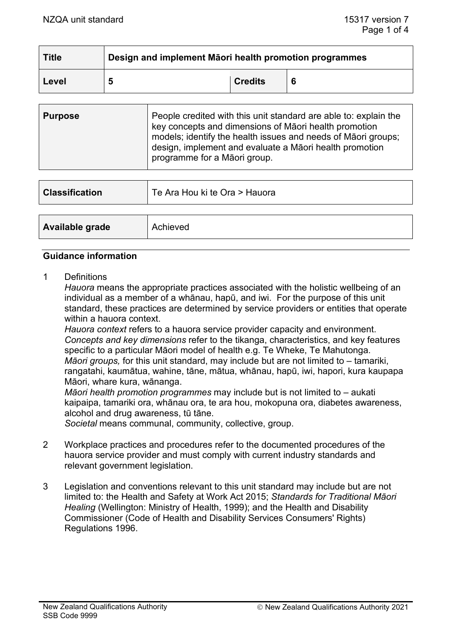| <b>Title</b> | Design and implement Māori health promotion programmes |                |  |  |
|--------------|--------------------------------------------------------|----------------|--|--|
| Level        | 5                                                      | <b>Credits</b> |  |  |

| <b>Purpose</b> | People credited with this unit standard are able to: explain the<br>key concepts and dimensions of Māori health promotion<br>models; identify the health issues and needs of Maori groups;<br>design, implement and evaluate a Māori health promotion<br>programme for a Māori group. |
|----------------|---------------------------------------------------------------------------------------------------------------------------------------------------------------------------------------------------------------------------------------------------------------------------------------|
|                |                                                                                                                                                                                                                                                                                       |

| <b>Classification</b> | Te Ara Hou ki te Ora > Hauora |
|-----------------------|-------------------------------|
|                       |                               |
| Available grade       | Achieved                      |

#### **Guidance information**

1 Definitions

*Hauora* means the appropriate practices associated with the holistic wellbeing of an individual as a member of a whānau, hapū, and iwi. For the purpose of this unit standard, these practices are determined by service providers or entities that operate within a hauora context.

*Hauora context* refers to a hauora service provider capacity and environment. *Concepts and key dimensions* refer to the tikanga, characteristics, and key features specific to a particular Māori model of health e.g. Te Wheke, Te Mahutonga. *Māori groups,* for this unit standard, may include but are not limited to – tamariki, rangatahi, kaumātua, wahine, tāne, mātua, whānau, hapū, iwi, hapori, kura kaupapa Māori, whare kura, wānanga.

*Māori health promotion programmes* may include but is not limited to – aukati kaipaipa, tamariki ora, whānau ora, te ara hou, mokopuna ora, diabetes awareness, alcohol and drug awareness, tū tāne.

*Societal* means communal, community, collective, group.

- 2 Workplace practices and procedures refer to the documented procedures of the hauora service provider and must comply with current industry standards and relevant government legislation.
- 3 Legislation and conventions relevant to this unit standard may include but are not limited to: the Health and Safety at Work Act 2015; *Standards for Traditional Māori Healing* (Wellington: Ministry of Health, 1999); and the Health and Disability Commissioner (Code of Health and Disability Services Consumers' Rights) Regulations 1996.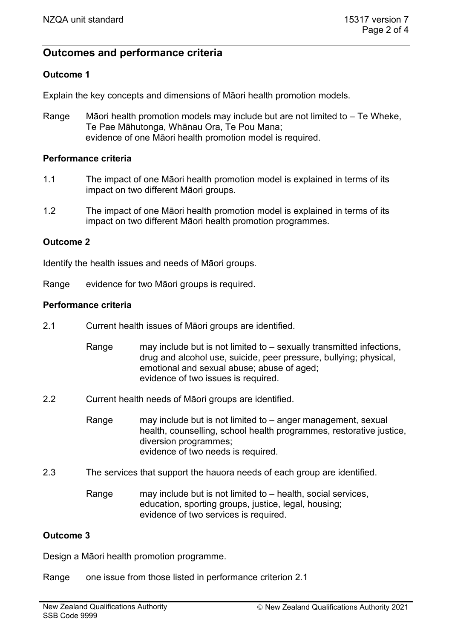# **Outcomes and performance criteria**

## **Outcome 1**

Explain the key concepts and dimensions of Māori health promotion models.

Range Māori health promotion models may include but are not limited to – Te Wheke, Te Pae Māhutonga, Whānau Ora, Te Pou Mana; evidence of one Māori health promotion model is required.

#### **Performance criteria**

- 1.1 The impact of one Māori health promotion model is explained in terms of its impact on two different Māori groups.
- 1.2 The impact of one Māori health promotion model is explained in terms of its impact on two different Māori health promotion programmes.

#### **Outcome 2**

Identify the health issues and needs of Māori groups.

Range evidence for two Māori groups is required.

#### **Performance criteria**

- 2.1 Current health issues of Māori groups are identified.
	- Range may include but is not limited to sexually transmitted infections, drug and alcohol use, suicide, peer pressure, bullying; physical, emotional and sexual abuse; abuse of aged; evidence of two issues is required.
- 2.2 Current health needs of Māori groups are identified.

Range may include but is not limited to – anger management, sexual health, counselling, school health programmes, restorative justice, diversion programmes; evidence of two needs is required.

- 2.3 The services that support the hauora needs of each group are identified.
	- Range may include but is not limited to health, social services, education, sporting groups, justice, legal, housing; evidence of two services is required.

#### **Outcome 3**

Design a Māori health promotion programme.

Range one issue from those listed in performance criterion 2.1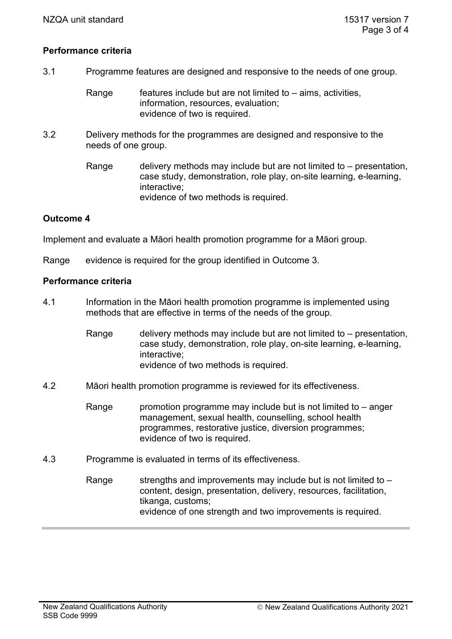#### **Performance criteria**

- 3.1 Programme features are designed and responsive to the needs of one group.
	- Range  $\qquad$  features include but are not limited to aims, activities, information, resources, evaluation; evidence of two is required.
- 3.2 Delivery methods for the programmes are designed and responsive to the needs of one group.
	- Range delivery methods may include but are not limited to  $-$  presentation, case study, demonstration, role play, on-site learning, e-learning, interactive; evidence of two methods is required.

### **Outcome 4**

Implement and evaluate a Māori health promotion programme for a Māori group.

Range evidence is required for the group identified in Outcome 3.

#### **Performance criteria**

- 4.1 Information in the Māori health promotion programme is implemented using methods that are effective in terms of the needs of the group.
	- Range delivery methods may include but are not limited to  $-$  presentation, case study, demonstration, role play, on-site learning, e-learning, interactive; evidence of two methods is required.
- 4.2 Māori health promotion programme is reviewed for its effectiveness.
	- Range promotion programme may include but is not limited to  $-$  anger management, sexual health, counselling, school health programmes, restorative justice, diversion programmes; evidence of two is required.
- 4.3 Programme is evaluated in terms of its effectiveness.
	- Range strengths and improvements may include but is not limited to  $$ content, design, presentation, delivery, resources, facilitation, tikanga, customs; evidence of one strength and two improvements is required.